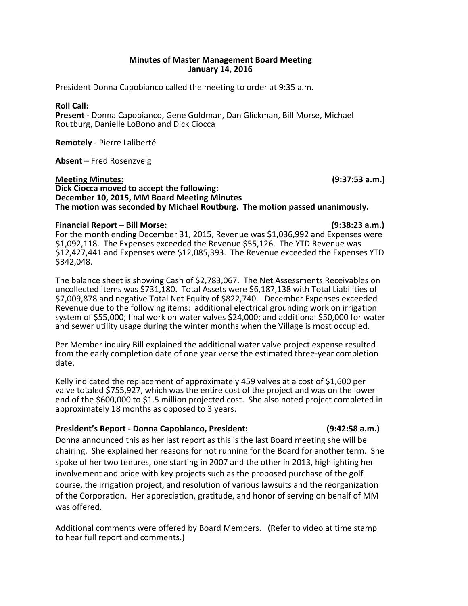# **Minutes of Master Management Board Meeting January 14, 2016**

President Donna Capobianco called the meeting to order at 9:35 a.m.

## **Roll Call:**

Present - Donna Capobianco, Gene Goldman, Dan Glickman, Bill Morse, Michael Routburg, Danielle LoBono and Dick Ciocca

**Remotely** - Pierre Laliberté 

**Absent** – Fred Rosenzveig

**Meeting Minutes:** (9:37:53 a.m.) **Dick Ciocca moved to accept the following: December 10, 2015, MM Board Meeting Minutes** The motion was seconded by Michael Routburg. The motion passed unanimously.

# **Financial Report – Bill Morse: (9:38:23 a.m.)**

For the month ending December 31, 2015, Revenue was \$1,036,992 and Expenses were \$1,092,118. The Expenses exceeded the Revenue \$55,126. The YTD Revenue was \$12,427,441 and Expenses were \$12,085,393. The Revenue exceeded the Expenses YTD \$342,048. 

The balance sheet is showing Cash of \$2,783,067. The Net Assessments Receivables on uncollected items was \$731,180. Total Assets were \$6,187,138 with Total Liabilities of \$7,009,878 and negative Total Net Equity of \$822,740. December Expenses exceeded Revenue due to the following items: additional electrical grounding work on irrigation system of \$55,000; final work on water valves \$24,000; and additional \$50,000 for water and sewer utility usage during the winter months when the Village is most occupied.

Per Member inquiry Bill explained the additional water valve project expense resulted from the early completion date of one year verse the estimated three-year completion date.

Kelly indicated the replacement of approximately 459 valves at a cost of \$1,600 per valve totaled \$755,927, which was the entire cost of the project and was on the lower end of the \$600,000 to \$1.5 million projected cost. She also noted project completed in approximately 18 months as opposed to 3 years.

# **President's Report - Donna Capobianco, President:** (9:42:58 a.m.)

Donna announced this as her last report as this is the last Board meeting she will be chairing. She explained her reasons for not running for the Board for another term. She spoke of her two tenures, one starting in 2007 and the other in 2013, highlighting her involvement and pride with key projects such as the proposed purchase of the golf course, the irrigation project, and resolution of various lawsuits and the reorganization of the Corporation. Her appreciation, gratitude, and honor of serving on behalf of MM was offered.

Additional comments were offered by Board Members. (Refer to video at time stamp to hear full report and comments.)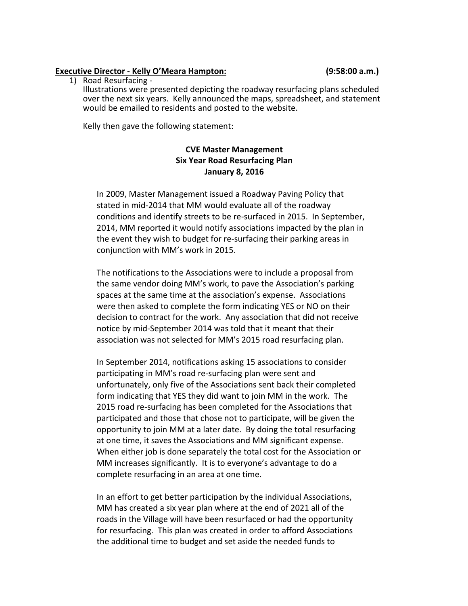# **Executive Director - Kelly O'Meara Hampton: (9:58:00 a.m.)**

1) Road Resurfacing -

Illustrations were presented depicting the roadway resurfacing plans scheduled over the next six years. Kelly announced the maps, spreadsheet, and statement would be emailed to residents and posted to the website.

Kelly then gave the following statement:

# **CVE Master Management Six Year Road Resurfacing Plan January 8, 2016**

In 2009, Master Management issued a Roadway Paving Policy that stated in mid-2014 that MM would evaluate all of the roadway conditions and identify streets to be re-surfaced in 2015. In September, 2014, MM reported it would notify associations impacted by the plan in the event they wish to budget for re-surfacing their parking areas in conjunction with MM's work in 2015.

The notifications to the Associations were to include a proposal from the same vendor doing MM's work, to pave the Association's parking spaces at the same time at the association's expense. Associations were then asked to complete the form indicating YES or NO on their decision to contract for the work. Any association that did not receive notice by mid-September 2014 was told that it meant that their association was not selected for MM's 2015 road resurfacing plan.

In September 2014, notifications asking 15 associations to consider participating in MM's road re-surfacing plan were sent and unfortunately, only five of the Associations sent back their completed form indicating that YES they did want to join MM in the work. The 2015 road re-surfacing has been completed for the Associations that participated and those that chose not to participate, will be given the opportunity to join MM at a later date. By doing the total resurfacing at one time, it saves the Associations and MM significant expense. When either job is done separately the total cost for the Association or MM increases significantly. It is to everyone's advantage to do a complete resurfacing in an area at one time.

In an effort to get better participation by the individual Associations, MM has created a six year plan where at the end of 2021 all of the roads in the Village will have been resurfaced or had the opportunity for resurfacing. This plan was created in order to afford Associations the additional time to budget and set aside the needed funds to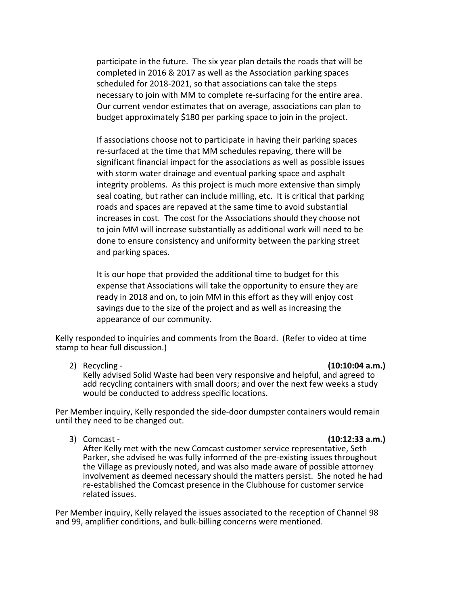participate in the future. The six year plan details the roads that will be completed in 2016 & 2017 as well as the Association parking spaces scheduled for 2018-2021, so that associations can take the steps necessary to join with MM to complete re-surfacing for the entire area. Our current vendor estimates that on average, associations can plan to budget approximately \$180 per parking space to join in the project.

If associations choose not to participate in having their parking spaces re-surfaced at the time that MM schedules repaving, there will be significant financial impact for the associations as well as possible issues with storm water drainage and eventual parking space and asphalt integrity problems. As this project is much more extensive than simply seal coating, but rather can include milling, etc. It is critical that parking roads and spaces are repaved at the same time to avoid substantial increases in cost. The cost for the Associations should they choose not to join MM will increase substantially as additional work will need to be done to ensure consistency and uniformity between the parking street and parking spaces.

It is our hope that provided the additional time to budget for this expense that Associations will take the opportunity to ensure they are ready in 2018 and on, to join MM in this effort as they will enjoy cost savings due to the size of the project and as well as increasing the appearance of our community.

Kelly responded to inquiries and comments from the Board. (Refer to video at time stamp to hear full discussion.)

### 2) Recycling - **(10:10:04 a.m.)**

Kelly advised Solid Waste had been very responsive and helpful, and agreed to add recycling containers with small doors; and over the next few weeks a study would be conducted to address specific locations.

Per Member inquiry, Kelly responded the side-door dumpster containers would remain until they need to be changed out.

## 3) Comcast - **(10:12:33 a.m.)**

After Kelly met with the new Comcast customer service representative, Seth Parker, she advised he was fully informed of the pre-existing issues throughout the Village as previously noted, and was also made aware of possible attorney involvement as deemed necessary should the matters persist. She noted he had re-established the Comcast presence in the Clubhouse for customer service related issues.

Per Member inquiry, Kelly relayed the issues associated to the reception of Channel 98 and 99, amplifier conditions, and bulk-billing concerns were mentioned.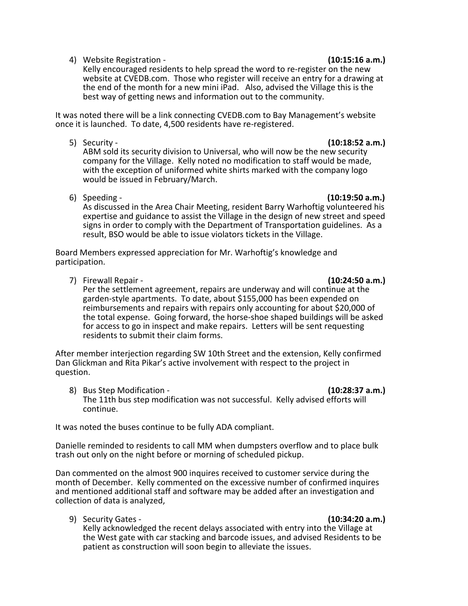4) Website Registration - *Allen Stration* - *Callenting* **(10:15:16 a.m.)** 

# Kelly encouraged residents to help spread the word to re-register on the new website at CVEDB.com. Those who register will receive an entry for a drawing at the end of the month for a new mini iPad. Also, advised the Village this is the best way of getting news and information out to the community.

It was noted there will be a link connecting CVEDB.com to Bay Management's website once it is launched. To date, 4,500 residents have re-registered.

5) Security - **(10:18:52 a.m.)** ABM sold its security division to Universal, who will now be the new security company for the Village. Kelly noted no modification to staff would be made, with the exception of uniformed white shirts marked with the company logo would be issued in February/March.

6) Speeding - **(10:19:50 a.m.)** As discussed in the Area Chair Meeting, resident Barry Warhoftig volunteered his expertise and guidance to assist the Village in the design of new street and speed signs in order to comply with the Department of Transportation guidelines. As a result, BSO would be able to issue violators tickets in the Village.

Board Members expressed appreciation for Mr. Warhoftig's knowledge and participation.

7) Firewall Repair - **All and Accord Contract Contract Contract Contract Contract Contract Contract Contract Contract Contract Contract Contract Contract Contract Contract Contract Contract Contract Contract Contract Contr** 

Per the settlement agreement, repairs are underway and will continue at the garden-style apartments. To date, about \$155,000 has been expended on reimbursements and repairs with repairs only accounting for about \$20,000 of the total expense. Going forward, the horse-shoe shaped buildings will be asked for access to go in inspect and make repairs. Letters will be sent requesting residents to submit their claim forms.

After member interjection regarding SW 10th Street and the extension, Kelly confirmed Dan Glickman and Rita Pikar's active involvement with respect to the project in question.

8) Bus Step Modification - **Alternation Contraction (10:28:37 a.m.)** The 11th bus step modification was not successful. Kelly advised efforts will continue. 

It was noted the buses continue to be fully ADA compliant.

Danielle reminded to residents to call MM when dumpsters overflow and to place bulk trash out only on the night before or morning of scheduled pickup.

Dan commented on the almost 900 inquires received to customer service during the month of December. Kelly commented on the excessive number of confirmed inquires and mentioned additional staff and software may be added after an investigation and collection of data is analyzed,

9) Security Gates - *CONSITERS* 10:34:20 a.m.

Kelly acknowledged the recent delays associated with entry into the Village at the West gate with car stacking and barcode issues, and advised Residents to be patient as construction will soon begin to alleviate the issues.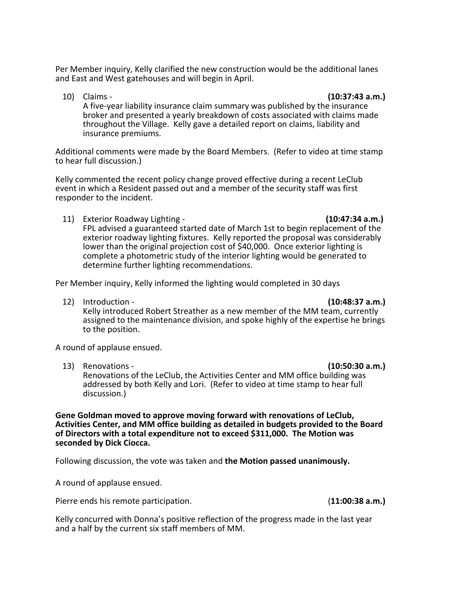Per Member inquiry, Kelly clarified the new construction would be the additional lanes and East and West gatehouses and will begin in April.

**10)** Claims - **(10:37:43 a.m.)** A five-year liability insurance claim summary was published by the insurance broker and presented a yearly breakdown of costs associated with claims made throughout the Village. Kelly gave a detailed report on claims, liability and insurance premiums.

Additional comments were made by the Board Members. (Refer to video at time stamp to hear full discussion.)

Kelly commented the recent policy change proved effective during a recent LeClub event in which a Resident passed out and a member of the security staff was first responder to the incident.

11) Exterior Roadway Lighting - **And Communism (10:47:34 a.m.)** 

## FPL advised a guaranteed started date of March 1st to begin replacement of the exterior roadway lighting fixtures. Kelly reported the proposal was considerably lower than the original projection cost of \$40,000. Once exterior lighting is complete a photometric study of the interior lighting would be generated to determine further lighting recommendations.

Per Member inquiry, Kelly informed the lighting would completed in 30 days

12) Introduction - **(10:48:37 a.m.)** Kelly introduced Robert Streather as a new member of the MM team, currently assigned to the maintenance division, and spoke highly of the expertise he brings to the position.

A round of applause ensued.

13) Renovations - *CONSIGNATE CONSIGNATE (10:50:30 a.m.***)** Renovations of the LeClub, the Activities Center and MM office building was addressed by both Kelly and Lori. (Refer to video at time stamp to hear full discussion.)

**Gene Goldman moved to approve moving forward with renovations of LeClub,** Activities Center, and MM office building as detailed in budgets provided to the Board of Directors with a total expenditure not to exceed \$311,000. The Motion was **seconded by Dick Ciocca.**

Following discussion, the vote was taken and **the Motion passed unanimously.** 

A round of applause ensued.

Pierre ends his remote participation. *COMERRY CONDUMERY (11:00:38 a.m.) CONDUMERY CONDUMERY (11:00:38 a.m.)* 

Kelly concurred with Donna's positive reflection of the progress made in the last year and a half by the current six staff members of MM.